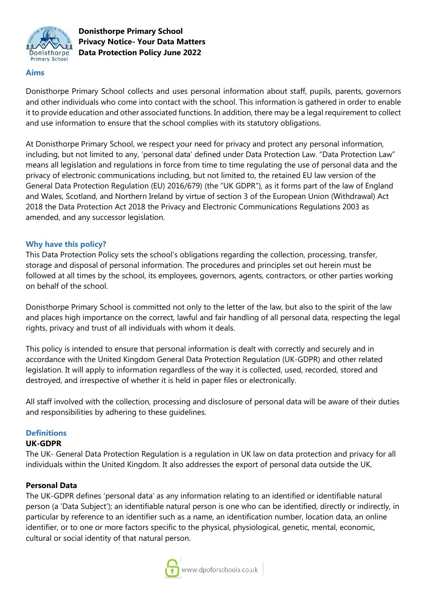

## **Aims**

Donisthorpe Primary School collects and uses personal information about staff, pupils, parents, governors and other individuals who come into contact with the school. This information is gathered in order to enable it to provide education and other associated functions. In addition, there may be a legal requirement to collect and use information to ensure that the school complies with its statutory obligations.

At Donisthorpe Primary School, we respect your need for privacy and protect any personal information, including, but not limited to any, 'personal data' defined under Data Protection Law. "Data Protection Law" means all legislation and regulations in force from time to time regulating the use of personal data and the privacy of electronic communications including, but not limited to, the retained EU law version of the General Data Protection Regulation (EU) 2016/679) (the "UK GDPR"), as it forms part of the law of England and Wales, Scotland, and Northern Ireland by virtue of section 3 of the European Union (Withdrawal) Act 2018 the Data Protection Act 2018 the Privacy and Electronic Communications Regulations 2003 as amended, and any successor legislation.

### **Why have this policy?**

This Data Protection Policy sets the school's obligations regarding the collection, processing, transfer, storage and disposal of personal information. The procedures and principles set out herein must be followed at all times by the school, its employees, governors, agents, contractors, or other parties working on behalf of the school.

Donisthorpe Primary School is committed not only to the letter of the law, but also to the spirit of the law and places high importance on the correct, lawful and fair handling of all personal data, respecting the legal rights, privacy and trust of all individuals with whom it deals.

This policy is intended to ensure that personal information is dealt with correctly and securely and in accordance with the United Kingdom General Data Protection Regulation (UK-GDPR) and other related legislation. It will apply to information regardless of the way it is collected, used, recorded, stored and destroyed, and irrespective of whether it is held in paper files or electronically.

All staff involved with the collection, processing and disclosure of personal data will be aware of their duties and responsibilities by adhering to these guidelines.

#### **Definitions**

#### **UK-GDPR**

The UK- General Data Protection Regulation is a regulation in UK law on data protection and privacy for all individuals within the United Kingdom. It also addresses the export of personal data outside the UK.

#### **Personal Data**

The UK-GDPR defines 'personal data' as any information relating to an identified or identifiable natural person (a 'Data Subject'); an identifiable natural person is one who can be identified, directly or indirectly, in particular by reference to an identifier such as a name, an identification number, location data, an online identifier, or to one or more factors specific to the physical, physiological, genetic, mental, economic, cultural or social identity of that natural person.

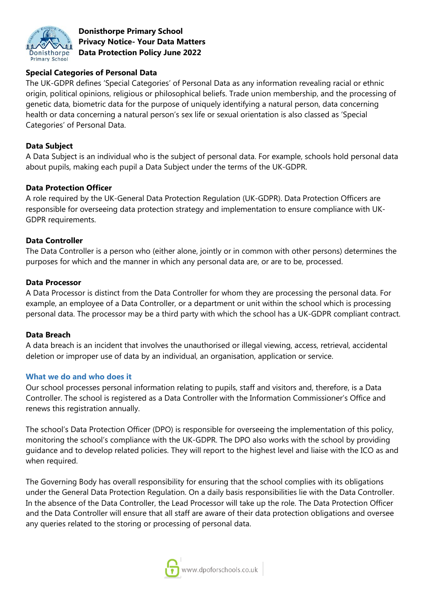

# **Special Categories of Personal Data**

The UK-GDPR defines 'Special Categories' of Personal Data as any information revealing racial or ethnic origin, political opinions, religious or philosophical beliefs. Trade union membership, and the processing of genetic data, biometric data for the purpose of uniquely identifying a natural person, data concerning health or data concerning a natural person's sex life or sexual orientation is also classed as 'Special Categories' of Personal Data.

### **Data Subject**

A Data Subject is an individual who is the subject of personal data. For example, schools hold personal data about pupils, making each pupil a Data Subject under the terms of the UK-GDPR.

### **Data Protection Officer**

A role required by the UK-General Data Protection Regulation (UK-GDPR). Data Protection Officers are responsible for overseeing data protection strategy and implementation to ensure compliance with UK-GDPR requirements.

### **Data Controller**

The Data Controller is a person who (either alone, jointly or in common with other persons) determines the purposes for which and the manner in which any personal data are, or are to be, processed.

#### **Data Processor**

A Data Processor is distinct from the Data Controller for whom they are processing the personal data. For example, an employee of a Data Controller, or a department or unit within the school which is processing personal data. The processor may be a third party with which the school has a UK-GDPR compliant contract.

#### **Data Breach**

A data breach is an incident that involves the unauthorised or illegal viewing, access, retrieval, accidental deletion or improper use of data by an individual, an organisation, application or service.

#### **What we do and who does it**

Our school processes personal information relating to pupils, staff and visitors and, therefore, is a Data Controller. The school is registered as a Data Controller with the Information Commissioner's Office and renews this registration annually.

The school's Data Protection Officer (DPO) is responsible for overseeing the implementation of this policy, monitoring the school's compliance with the UK-GDPR. The DPO also works with the school by providing guidance and to develop related policies. They will report to the highest level and liaise with the ICO as and when required.

The Governing Body has overall responsibility for ensuring that the school complies with its obligations under the General Data Protection Regulation. On a daily basis responsibilities lie with the Data Controller. In the absence of the Data Controller, the Lead Processor will take up the role. The Data Protection Officer and the Data Controller will ensure that all staff are aware of their data protection obligations and oversee any queries related to the storing or processing of personal data.

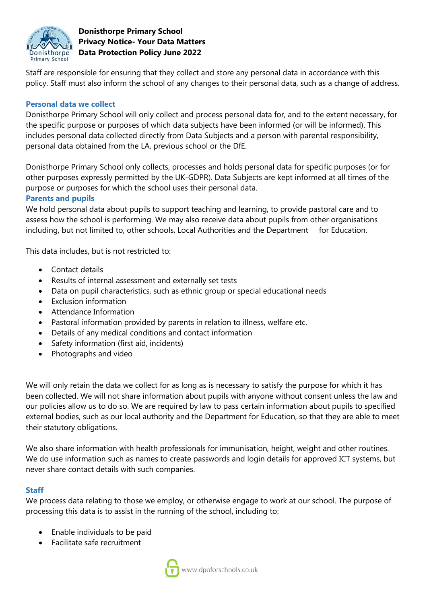

Staff are responsible for ensuring that they collect and store any personal data in accordance with this policy. Staff must also inform the school of any changes to their personal data, such as a change of address.

## **Personal data we collect**

Donisthorpe Primary School will only collect and process personal data for, and to the extent necessary, for the specific purpose or purposes of which data subjects have been informed (or will be informed). This includes personal data collected directly from Data Subjects and a person with parental responsibility, personal data obtained from the LA, previous school or the DfE.

Donisthorpe Primary School only collects, processes and holds personal data for specific purposes (or for other purposes expressly permitted by the UK-GDPR). Data Subjects are kept informed at all times of the purpose or purposes for which the school uses their personal data.

## **Parents and pupils**

We hold personal data about pupils to support teaching and learning, to provide pastoral care and to assess how the school is performing. We may also receive data about pupils from other organisations including, but not limited to, other schools, Local Authorities and the Department for Education.

This data includes, but is not restricted to:

- Contact details
- Results of internal assessment and externally set tests
- Data on pupil characteristics, such as ethnic group or special educational needs
- Exclusion information
- Attendance Information
- Pastoral information provided by parents in relation to illness, welfare etc.
- Details of any medical conditions and contact information
- Safety information (first aid, incidents)
- Photographs and video

We will only retain the data we collect for as long as is necessary to satisfy the purpose for which it has been collected. We will not share information about pupils with anyone without consent unless the law and our policies allow us to do so. We are required by law to pass certain information about pupils to specified external bodies, such as our local authority and the Department for Education, so that they are able to meet their statutory obligations.

We also share information with health professionals for immunisation, height, weight and other routines. We do use information such as names to create passwords and login details for approved ICT systems, but never share contact details with such companies.

## **Staff**

We process data relating to those we employ, or otherwise engage to work at our school. The purpose of processing this data is to assist in the running of the school, including to:

- Enable individuals to be paid
- Facilitate safe recruitment

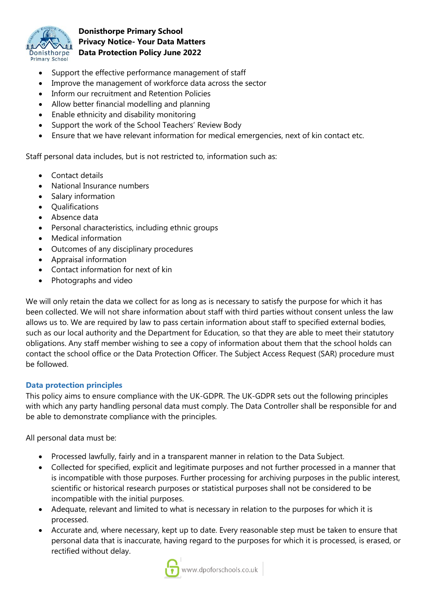

- Support the effective performance management of staff
- Improve the management of workforce data across the sector
- Inform our recruitment and Retention Policies
- Allow better financial modelling and planning
- Enable ethnicity and disability monitoring
- Support the work of the School Teachers' Review Body
- Ensure that we have relevant information for medical emergencies, next of kin contact etc.

Staff personal data includes, but is not restricted to, information such as:

- Contact details
- National Insurance numbers
- Salary information
- **Oualifications**
- Absence data
- Personal characteristics, including ethnic groups
- Medical information
- Outcomes of any disciplinary procedures
- Appraisal information
- Contact information for next of kin
- Photographs and video

We will only retain the data we collect for as long as is necessary to satisfy the purpose for which it has been collected. We will not share information about staff with third parties without consent unless the law allows us to. We are required by law to pass certain information about staff to specified external bodies, such as our local authority and the Department for Education, so that they are able to meet their statutory obligations. Any staff member wishing to see a copy of information about them that the school holds can contact the school office or the Data Protection Officer. The Subject Access Request (SAR) procedure must be followed.

## **Data protection principles**

This policy aims to ensure compliance with the UK-GDPR. The UK-GDPR sets out the following principles with which any party handling personal data must comply. The Data Controller shall be responsible for and be able to demonstrate compliance with the principles.

All personal data must be:

- Processed lawfully, fairly and in a transparent manner in relation to the Data Subject.
- Collected for specified, explicit and legitimate purposes and not further processed in a manner that is incompatible with those purposes. Further processing for archiving purposes in the public interest, scientific or historical research purposes or statistical purposes shall not be considered to be incompatible with the initial purposes.
- Adequate, relevant and limited to what is necessary in relation to the purposes for which it is processed.
- Accurate and, where necessary, kept up to date. Every reasonable step must be taken to ensure that personal data that is inaccurate, having regard to the purposes for which it is processed, is erased, or rectified without delay.

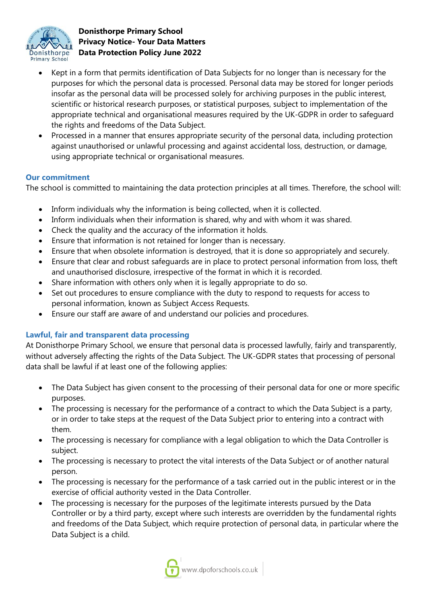

- Kept in a form that permits identification of Data Subjects for no longer than is necessary for the purposes for which the personal data is processed. Personal data may be stored for longer periods insofar as the personal data will be processed solely for archiving purposes in the public interest, scientific or historical research purposes, or statistical purposes, subject to implementation of the appropriate technical and organisational measures required by the UK-GDPR in order to safeguard the rights and freedoms of the Data Subject.
- Processed in a manner that ensures appropriate security of the personal data, including protection against unauthorised or unlawful processing and against accidental loss, destruction, or damage, using appropriate technical or organisational measures.

## **Our commitment**

The school is committed to maintaining the data protection principles at all times. Therefore, the school will:

- Inform individuals why the information is being collected, when it is collected.
- Inform individuals when their information is shared, why and with whom it was shared.
- Check the quality and the accuracy of the information it holds.
- Ensure that information is not retained for longer than is necessary.
- Ensure that when obsolete information is destroyed, that it is done so appropriately and securely.
- Ensure that clear and robust safeguards are in place to protect personal information from loss, theft and unauthorised disclosure, irrespective of the format in which it is recorded.
- Share information with others only when it is legally appropriate to do so.
- Set out procedures to ensure compliance with the duty to respond to requests for access to personal information, known as Subject Access Requests.
- Ensure our staff are aware of and understand our policies and procedures.

# **Lawful, fair and transparent data processing**

At Donisthorpe Primary School, we ensure that personal data is processed lawfully, fairly and transparently, without adversely affecting the rights of the Data Subject. The UK-GDPR states that processing of personal data shall be lawful if at least one of the following applies:

- The Data Subject has given consent to the processing of their personal data for one or more specific purposes.
- The processing is necessary for the performance of a contract to which the Data Subject is a party, or in order to take steps at the request of the Data Subject prior to entering into a contract with them.
- The processing is necessary for compliance with a legal obligation to which the Data Controller is subject.
- The processing is necessary to protect the vital interests of the Data Subject or of another natural person.
- The processing is necessary for the performance of a task carried out in the public interest or in the exercise of official authority vested in the Data Controller.
- The processing is necessary for the purposes of the legitimate interests pursued by the Data Controller or by a third party, except where such interests are overridden by the fundamental rights and freedoms of the Data Subject, which require protection of personal data, in particular where the Data Subject is a child.

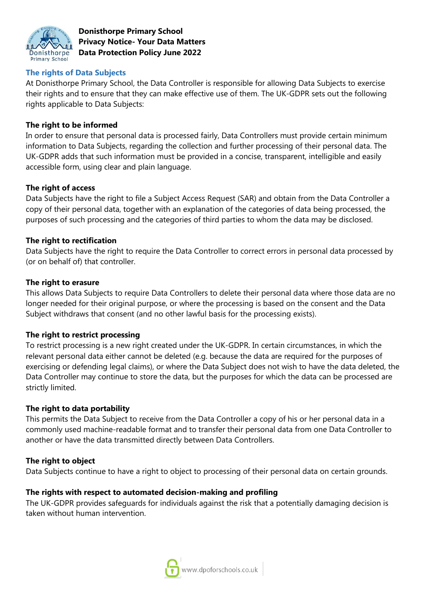

## **The rights of Data Subjects**

At Donisthorpe Primary School, the Data Controller is responsible for allowing Data Subjects to exercise their rights and to ensure that they can make effective use of them. The UK-GDPR sets out the following rights applicable to Data Subjects:

### **The right to be informed**

In order to ensure that personal data is processed fairly, Data Controllers must provide certain minimum information to Data Subjects, regarding the collection and further processing of their personal data. The UK-GDPR adds that such information must be provided in a concise, transparent, intelligible and easily accessible form, using clear and plain language.

### **The right of access**

Data Subjects have the right to file a Subject Access Request (SAR) and obtain from the Data Controller a copy of their personal data, together with an explanation of the categories of data being processed, the purposes of such processing and the categories of third parties to whom the data may be disclosed.

### **The right to rectification**

Data Subjects have the right to require the Data Controller to correct errors in personal data processed by (or on behalf of) that controller.

### **The right to erasure**

This allows Data Subjects to require Data Controllers to delete their personal data where those data are no longer needed for their original purpose, or where the processing is based on the consent and the Data Subject withdraws that consent (and no other lawful basis for the processing exists).

#### **The right to restrict processing**

To restrict processing is a new right created under the UK-GDPR. In certain circumstances, in which the relevant personal data either cannot be deleted (e.g. because the data are required for the purposes of exercising or defending legal claims), or where the Data Subject does not wish to have the data deleted, the Data Controller may continue to store the data, but the purposes for which the data can be processed are strictly limited.

#### **The right to data portability**

This permits the Data Subject to receive from the Data Controller a copy of his or her personal data in a commonly used machine-readable format and to transfer their personal data from one Data Controller to another or have the data transmitted directly between Data Controllers.

#### **The right to object**

Data Subjects continue to have a right to object to processing of their personal data on certain grounds.

## **The rights with respect to automated decision-making and profiling**

The UK-GDPR provides safeguards for individuals against the risk that a potentially damaging decision is taken without human intervention.

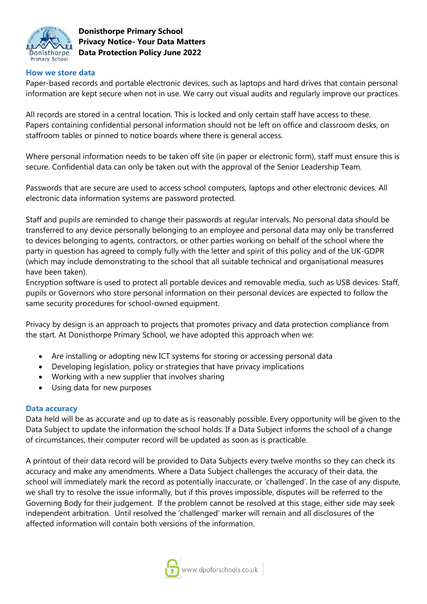

### **How we store data**

Paper-based records and portable electronic devices, such as laptops and hard drives that contain personal information are kept secure when not in use. We carry out visual audits and regularly improve our practices.

All records are stored in a central location. This is locked and only certain staff have access to these. Papers containing confidential personal information should not be left on office and classroom desks, on staffroom tables or pinned to notice boards where there is general access.

Where personal information needs to be taken off site (in paper or electronic form), staff must ensure this is secure. Confidential data can only be taken out with the approval of the Senior Leadership Team.

Passwords that are secure are used to access school computers, laptops and other electronic devices. All electronic data information systems are password protected.

Staff and pupils are reminded to change their passwords at regular intervals. No personal data should be transferred to any device personally belonging to an employee and personal data may only be transferred to devices belonging to agents, contractors, or other parties working on behalf of the school where the party in question has agreed to comply fully with the letter and spirit of this policy and of the UK-GDPR (which may include demonstrating to the school that all suitable technical and organisational measures have been taken).

Encryption software is used to protect all portable devices and removable media, such as USB devices. Staff, pupils or Governors who store personal information on their personal devices are expected to follow the same security procedures for school-owned equipment.

Privacy by design is an approach to projects that promotes privacy and data protection compliance from the start. At Donisthorpe Primary School, we have adopted this approach when we:

- Are installing or adopting new ICT systems for storing or accessing personal data
- Developing legislation, policy or strategies that have privacy implications
- Working with a new supplier that involves sharing
- Using data for new purposes

#### **Data accuracy**

Data held will be as accurate and up to date as is reasonably possible. Every opportunity will be given to the Data Subject to update the information the school holds. If a Data Subject informs the school of a change of circumstances, their computer record will be updated as soon as is practicable.

A printout of their data record will be provided to Data Subjects every twelve months so they can check its accuracy and make any amendments. Where a Data Subject challenges the accuracy of their data, the school will immediately mark the record as potentially inaccurate, or 'challenged'. In the case of any dispute, we shall try to resolve the issue informally, but if this proves impossible, disputes will be referred to the Governing Body for their judgement. If the problem cannot be resolved at this stage, either side may seek independent arbitration. Until resolved the 'challenged' marker will remain and all disclosures of the affected information will contain both versions of the information.

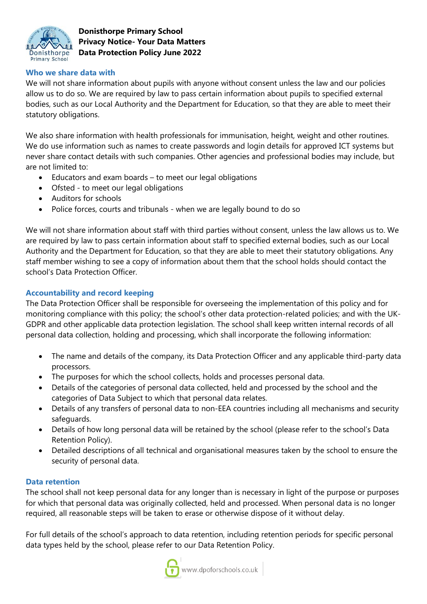

## **Who we share data with**

We will not share information about pupils with anyone without consent unless the law and our policies allow us to do so. We are required by law to pass certain information about pupils to specified external bodies, such as our Local Authority and the Department for Education, so that they are able to meet their statutory obligations.

We also share information with health professionals for immunisation, height, weight and other routines. We do use information such as names to create passwords and login details for approved ICT systems but never share contact details with such companies. Other agencies and professional bodies may include, but are not limited to:

- Educators and exam boards to meet our legal obligations
- Ofsted to meet our legal obligations
- Auditors for schools
- Police forces, courts and tribunals when we are legally bound to do so

We will not share information about staff with third parties without consent, unless the law allows us to. We are required by law to pass certain information about staff to specified external bodies, such as our Local Authority and the Department for Education, so that they are able to meet their statutory obligations. Any staff member wishing to see a copy of information about them that the school holds should contact the school's Data Protection Officer.

## **Accountability and record keeping**

The Data Protection Officer shall be responsible for overseeing the implementation of this policy and for monitoring compliance with this policy; the school's other data protection-related policies; and with the UK-GDPR and other applicable data protection legislation. The school shall keep written internal records of all personal data collection, holding and processing, which shall incorporate the following information:

- The name and details of the company, its Data Protection Officer and any applicable third-party data processors.
- The purposes for which the school collects, holds and processes personal data.
- Details of the categories of personal data collected, held and processed by the school and the categories of Data Subject to which that personal data relates.
- Details of any transfers of personal data to non-EEA countries including all mechanisms and security safeguards.
- Details of how long personal data will be retained by the school (please refer to the school's Data Retention Policy).
- Detailed descriptions of all technical and organisational measures taken by the school to ensure the security of personal data.

#### **Data retention**

The school shall not keep personal data for any longer than is necessary in light of the purpose or purposes for which that personal data was originally collected, held and processed. When personal data is no longer required, all reasonable steps will be taken to erase or otherwise dispose of it without delay.

For full details of the school's approach to data retention, including retention periods for specific personal data types held by the school, please refer to our Data Retention Policy.

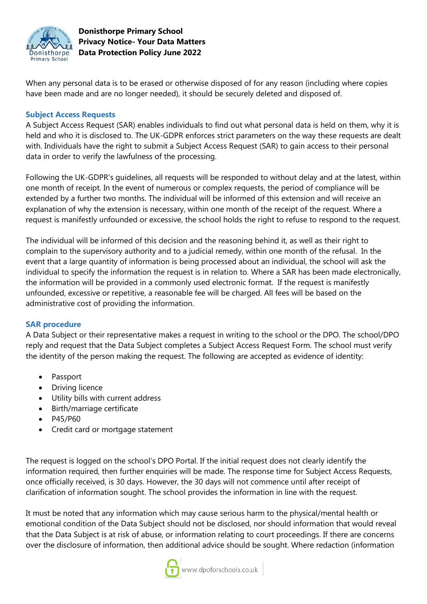

When any personal data is to be erased or otherwise disposed of for any reason (including where copies have been made and are no longer needed), it should be securely deleted and disposed of.

### **Subject Access Requests**

A Subject Access Request (SAR) enables individuals to find out what personal data is held on them, why it is held and who it is disclosed to. The UK-GDPR enforces strict parameters on the way these requests are dealt with. Individuals have the right to submit a Subject Access Request (SAR) to gain access to their personal data in order to verify the lawfulness of the processing.

Following the UK-GDPR's guidelines, all requests will be responded to without delay and at the latest, within one month of receipt. In the event of numerous or complex requests, the period of compliance will be extended by a further two months. The individual will be informed of this extension and will receive an explanation of why the extension is necessary, within one month of the receipt of the request. Where a request is manifestly unfounded or excessive, the school holds the right to refuse to respond to the request.

The individual will be informed of this decision and the reasoning behind it, as well as their right to complain to the supervisory authority and to a judicial remedy, within one month of the refusal. In the event that a large quantity of information is being processed about an individual, the school will ask the individual to specify the information the request is in relation to. Where a SAR has been made electronically, the information will be provided in a commonly used electronic format. If the request is manifestly unfounded, excessive or repetitive, a reasonable fee will be charged. All fees will be based on the administrative cost of providing the information.

## **SAR procedure**

A Data Subject or their representative makes a request in writing to the school or the DPO. The school/DPO reply and request that the Data Subject completes a Subject Access Request Form. The school must verify the identity of the person making the request. The following are accepted as evidence of identity:

- Passport
- Driving licence
- Utility bills with current address
- Birth/marriage certificate
- P45/P60
- Credit card or mortgage statement

The request is logged on the school's DPO Portal. If the initial request does not clearly identify the information required, then further enquiries will be made. The response time for Subject Access Requests, once officially received, is 30 days. However, the 30 days will not commence until after receipt of clarification of information sought. The school provides the information in line with the request.

It must be noted that any information which may cause serious harm to the physical/mental health or emotional condition of the Data Subject should not be disclosed, nor should information that would reveal that the Data Subject is at risk of abuse, or information relating to court proceedings. If there are concerns over the disclosure of information, then additional advice should be sought. Where redaction (information

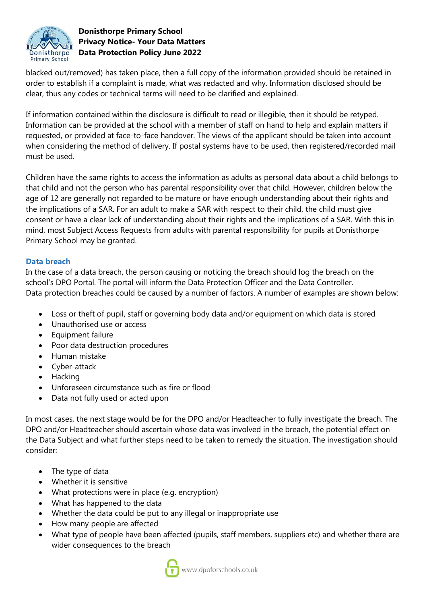

blacked out/removed) has taken place, then a full copy of the information provided should be retained in order to establish if a complaint is made, what was redacted and why. Information disclosed should be clear, thus any codes or technical terms will need to be clarified and explained.

If information contained within the disclosure is difficult to read or illegible, then it should be retyped. Information can be provided at the school with a member of staff on hand to help and explain matters if requested, or provided at face-to-face handover. The views of the applicant should be taken into account when considering the method of delivery. If postal systems have to be used, then registered/recorded mail must be used.

Children have the same rights to access the information as adults as personal data about a child belongs to that child and not the person who has parental responsibility over that child. However, children below the age of 12 are generally not regarded to be mature or have enough understanding about their rights and the implications of a SAR. For an adult to make a SAR with respect to their child, the child must give consent or have a clear lack of understanding about their rights and the implications of a SAR. With this in mind, most Subject Access Requests from adults with parental responsibility for pupils at Donisthorpe Primary School may be granted.

## **Data breach**

In the case of a data breach, the person causing or noticing the breach should log the breach on the school's DPO Portal. The portal will inform the Data Protection Officer and the Data Controller. Data protection breaches could be caused by a number of factors. A number of examples are shown below:

- Loss or theft of pupil, staff or governing body data and/or equipment on which data is stored
- Unauthorised use or access
- Equipment failure
- Poor data destruction procedures
- Human mistake
- Cyber-attack
- Hacking
- Unforeseen circumstance such as fire or flood
- Data not fully used or acted upon

In most cases, the next stage would be for the DPO and/or Headteacher to fully investigate the breach. The DPO and/or Headteacher should ascertain whose data was involved in the breach, the potential effect on the Data Subject and what further steps need to be taken to remedy the situation. The investigation should consider:

- The type of data
- Whether it is sensitive
- What protections were in place (e.g. encryption)
- What has happened to the data
- Whether the data could be put to any illegal or inappropriate use
- How many people are affected
- What type of people have been affected (pupils, staff members, suppliers etc) and whether there are wider consequences to the breach

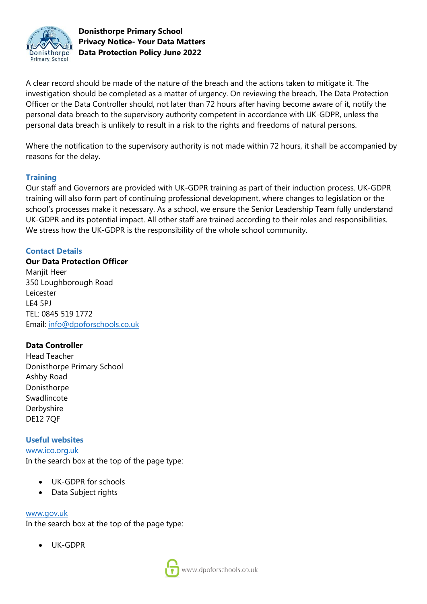

A clear record should be made of the nature of the breach and the actions taken to mitigate it. The investigation should be completed as a matter of urgency. On reviewing the breach, The Data Protection Officer or the Data Controller should, not later than 72 hours after having become aware of it, notify the personal data breach to the supervisory authority competent in accordance with UK-GDPR, unless the personal data breach is unlikely to result in a risk to the rights and freedoms of natural persons.

Where the notification to the supervisory authority is not made within 72 hours, it shall be accompanied by reasons for the delay.

## **Training**

Our staff and Governors are provided with UK-GDPR training as part of their induction process. UK-GDPR training will also form part of continuing professional development, where changes to legislation or the school's processes make it necessary. As a school, we ensure the Senior Leadership Team fully understand UK-GDPR and its potential impact. All other staff are trained according to their roles and responsibilities. We stress how the UK-GDPR is the responsibility of the whole school community.

# **Contact Details**

### **Our Data Protection Officer**

Maniit Heer 350 Loughborough Road Leicester LE4 5PJ TEL: 0845 519 1772 Email: [info@dpoforschools.co.uk](mailto:info@dpoforschools.co.uk)

## **Data Controller**

Head Teacher Donisthorpe Primary School Ashby Road Donisthorpe Swadlincote Derbyshire DE12 7QF

#### **Useful websites**

### [www.ico.org.uk](http://www.ico.org.uk/)

In the search box at the top of the page type:

- UK-GDPR for schools
- Data Subject rights

#### [www.gov.uk](http://www.gov.uk/)

In the search box at the top of the page type:

UK-GDPR